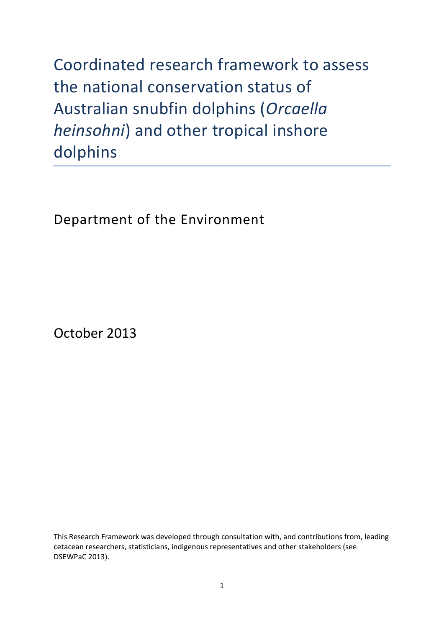Coordinated research framework to assess the national conservation status of Australian snubfin dolphins (*Orcaella heinsohni*) and other tropical inshore dolphins

Department of the Environment

October 2013

This Research Framework was developed through consultation with, and contributions from, leading cetacean researchers, statisticians, indigenous representatives and other stakeholders [\(see](#page-19-0)  [DSEWPaC 2013\)](#page-19-0).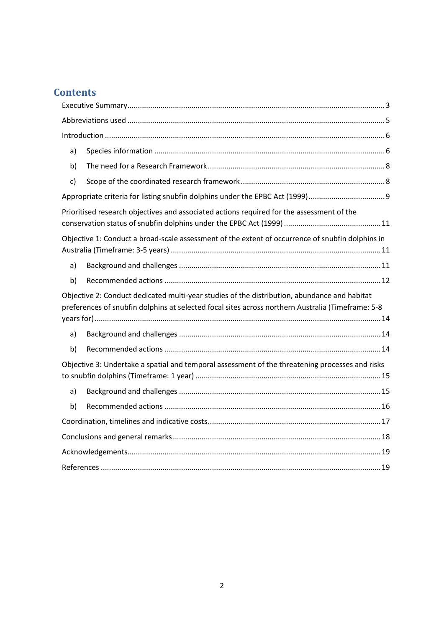# **Contents**

| a) |                                                                                                                                                                                                   |  |  |  |  |
|----|---------------------------------------------------------------------------------------------------------------------------------------------------------------------------------------------------|--|--|--|--|
| b) |                                                                                                                                                                                                   |  |  |  |  |
| c) |                                                                                                                                                                                                   |  |  |  |  |
|    |                                                                                                                                                                                                   |  |  |  |  |
|    | Prioritised research objectives and associated actions required for the assessment of the                                                                                                         |  |  |  |  |
|    | Objective 1: Conduct a broad-scale assessment of the extent of occurrence of snubfin dolphins in                                                                                                  |  |  |  |  |
| a) |                                                                                                                                                                                                   |  |  |  |  |
| b) |                                                                                                                                                                                                   |  |  |  |  |
|    | Objective 2: Conduct dedicated multi-year studies of the distribution, abundance and habitat<br>preferences of snubfin dolphins at selected focal sites across northern Australia (Timeframe: 5-8 |  |  |  |  |
| a) |                                                                                                                                                                                                   |  |  |  |  |
| b) |                                                                                                                                                                                                   |  |  |  |  |
|    |                                                                                                                                                                                                   |  |  |  |  |
|    | Objective 3: Undertake a spatial and temporal assessment of the threatening processes and risks                                                                                                   |  |  |  |  |
| a) |                                                                                                                                                                                                   |  |  |  |  |
| b) |                                                                                                                                                                                                   |  |  |  |  |
|    |                                                                                                                                                                                                   |  |  |  |  |
|    |                                                                                                                                                                                                   |  |  |  |  |
|    |                                                                                                                                                                                                   |  |  |  |  |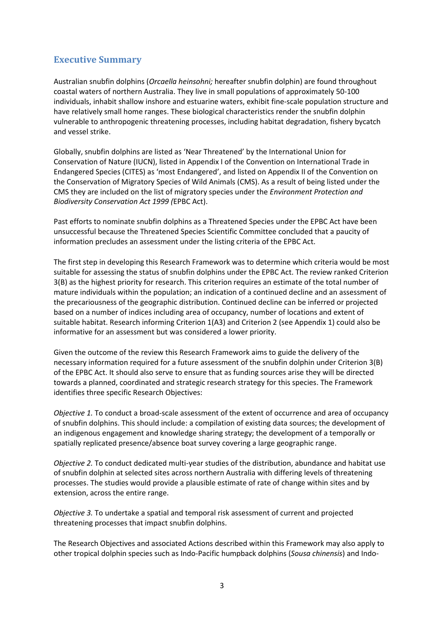# <span id="page-2-0"></span>**Executive Summary**

Australian snubfin dolphins (*Orcaella heinsohni;* hereafter snubfin dolphin) are found throughout coastal waters of northern Australia. They live in small populations of approximately 50-100 individuals, inhabit shallow inshore and estuarine waters, exhibit fine-scale population structure and have relatively small home ranges. These biological characteristics render the snubfin dolphin vulnerable to anthropogenic threatening processes, including habitat degradation, fishery bycatch and vessel strike.

Globally, snubfin dolphins are listed as 'Near Threatened' by the International Union for Conservation of Nature (IUCN), listed in Appendix I of the Convention on International Trade in Endangered Species (CITES) as 'most Endangered', and listed on Appendix II of the Convention on the Conservation of Migratory Species of Wild Animals (CMS). As a result of being listed under the CMS they are included on the list of migratory species under the *Environment Protection and Biodiversity Conservation Act 1999 (*EPBC Act).

Past efforts to nominate snubfin dolphins as a Threatened Species under the EPBC Act have been unsuccessful because the Threatened Species Scientific Committee concluded that a paucity of information precludes an assessment under the listing criteria of the EPBC Act.

The first step in developing this Research Framework was to determine which criteria would be most suitable for assessing the status of snubfin dolphins under the EPBC Act. The review ranked Criterion 3(B) as the highest priority for research. This criterion requires an estimate of the total number of mature individuals within the population; an indication of a continued decline and an assessment of the precariousness of the geographic distribution. Continued decline can be inferred or projected based on a number of indices including area of occupancy, number of locations and extent of suitable habitat. Research informing Criterion 1(A3) and Criterion 2 (see Appendix 1) could also be informative for an assessment but was considered a lower priority.

Given the outcome of the review this Research Framework aims to guide the delivery of the necessary information required for a future assessment of the snubfin dolphin under Criterion 3(B) of the EPBC Act. It should also serve to ensure that as funding sources arise they will be directed towards a planned, coordinated and strategic research strategy for this species. The Framework identifies three specific Research Objectives:

*Objective 1.* To conduct a broad-scale assessment of the extent of occurrence and area of occupancy of snubfin dolphins. This should include: a compilation of existing data sources; the development of an indigenous engagement and knowledge sharing strategy; the development of a temporally or spatially replicated presence/absence boat survey covering a large geographic range.

*Objective 2.* To conduct dedicated multi-year studies of the distribution, abundance and habitat use of snubfin dolphin at selected sites across northern Australia with differing levels of threatening processes. The studies would provide a plausible estimate of rate of change within sites and by extension, across the entire range.

*Objective 3.* To undertake a spatial and temporal risk assessment of current and projected threatening processes that impact snubfin dolphins.

The Research Objectives and associated Actions described within this Framework may also apply to other tropical dolphin species such as Indo-Pacific humpback dolphins (*Sousa chinensis*) and Indo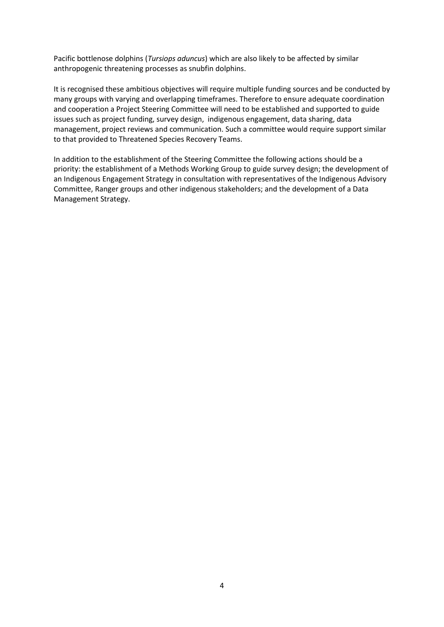Pacific bottlenose dolphins (*Tursiops aduncus*) which are also likely to be affected by similar anthropogenic threatening processes as snubfin dolphins.

It is recognised these ambitious objectives will require multiple funding sources and be conducted by many groups with varying and overlapping timeframes. Therefore to ensure adequate coordination and cooperation a Project Steering Committee will need to be established and supported to guide issues such as project funding, survey design, indigenous engagement, data sharing, data management, project reviews and communication. Such a committee would require support similar to that provided to Threatened Species Recovery Teams.

In addition to the establishment of the Steering Committee the following actions should be a priority: the establishment of a Methods Working Group to guide survey design; the development of an Indigenous Engagement Strategy in consultation with representatives of the Indigenous Advisory Committee, Ranger groups and other indigenous stakeholders; and the development of a Data Management Strategy.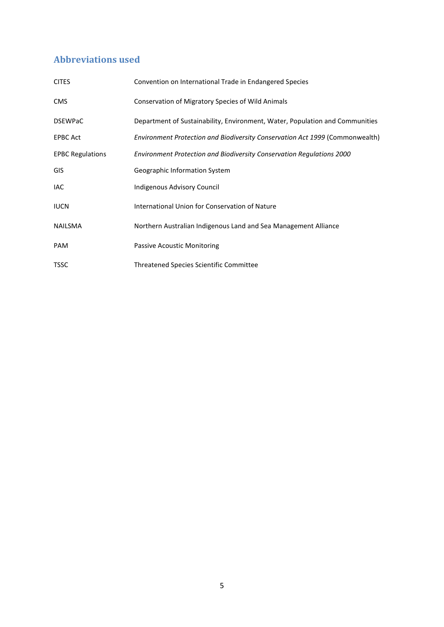# <span id="page-4-0"></span>**Abbreviations used**

| <b>CITES</b>            | Convention on International Trade in Endangered Species                      |
|-------------------------|------------------------------------------------------------------------------|
| <b>CMS</b>              | Conservation of Migratory Species of Wild Animals                            |
| <b>DSEWPaC</b>          | Department of Sustainability, Environment, Water, Population and Communities |
| <b>EPBC Act</b>         | Environment Protection and Biodiversity Conservation Act 1999 (Commonwealth) |
| <b>EPBC Regulations</b> | Environment Protection and Biodiversity Conservation Regulations 2000        |
| GIS                     | Geographic Information System                                                |
| <b>IAC</b>              | Indigenous Advisory Council                                                  |
| <b>IUCN</b>             | International Union for Conservation of Nature                               |
| <b>NAILSMA</b>          | Northern Australian Indigenous Land and Sea Management Alliance              |
| <b>PAM</b>              | <b>Passive Acoustic Monitoring</b>                                           |
| <b>TSSC</b>             | <b>Threatened Species Scientific Committee</b>                               |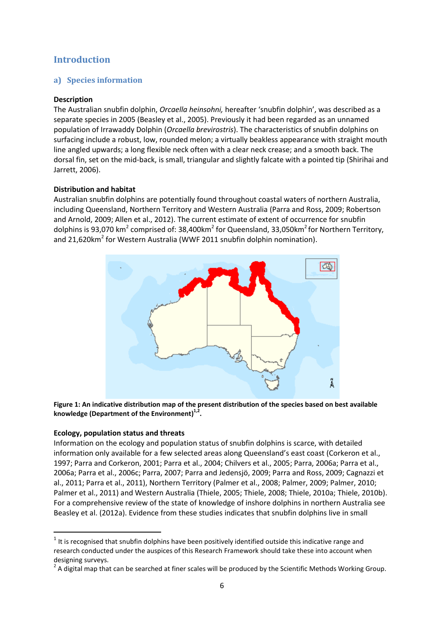# <span id="page-5-0"></span>**Introduction**

### <span id="page-5-1"></span>**a) Species information**

#### **Description**

The Australian snubfin dolphin, *Orcaella heinsohni,* hereafter 'snubfin dolphin', was described as a separate species in 2005 (Beasley et al., 2005). Previously it had been regarded as an unnamed population of Irrawaddy Dolphin (*Orcaella brevirostris*). The characteristics of snubfin dolphins on surfacing include a robust, low, rounded melon; a virtually beakless appearance with straight mouth line angled upwards; a long flexible neck often with a clear neck crease; and a smooth back. The dorsal fin, set on the mid-back, is small, triangular and slightly falcate with a pointed tip [\(Shirihai and](#page-20-0)  [Jarrett, 2006\)](#page-20-0).

#### **Distribution and habitat**

Australian snubfin dolphins are potentially found throughout coastal waters of northern Australia, including Queensland, Northern Territory and Western Australia [\(Parra and Ross, 2009;](#page-20-1) [Robertson](#page-20-2)  [and Arnold, 2009;](#page-20-2) [Allen et al., 2012\)](#page-18-2). The current estimate of extent of occurrence for snubfin dolphins is 93,070 km<sup>2</sup> comprised of: 38,400km<sup>2</sup> for Queensland, 33,050km<sup>2</sup> for Northern Territory, and 21,620 $km^2$  for Western Australia (WWF 2011 snubfin dolphin nomination).



**Figure 1: An indicative distribution map of the present distribution of the species based on best available knowledge (Department of the Environment) 1,2 .**

#### **Ecology, population status and threats**

**.** 

Information on the ecology and population status of snubfin dolphins is scarce, with detailed information only available for a few selected areas along Queensland's east coast [\(Corkeron et al.,](#page-18-3)  [1997;](#page-18-3) [Parra and Corkeron, 2001;](#page-20-3) [Parra et al., 2004;](#page-20-4) [Chilvers et al., 2005;](#page-18-4) [Parra, 2006a;](#page-20-5) [Parra et al.,](#page-20-6)  [2006a;](#page-20-6) [Parra et al., 2006c;](#page-20-7) [Parra, 2007;](#page-20-8) [Parra and Jedensjö, 2009;](#page-20-9) [Parra and Ross, 2009;](#page-20-1) [Cagnazzi et](#page-18-5)  [al., 2011;](#page-18-5) [Parra et al., 2011\)](#page-20-10), Northern Territory [\(Palmer et al., 2008;](#page-19-1) [Palmer, 2009;](#page-19-2) [Palmer, 2010;](#page-19-3) [Palmer et al., 2011\)](#page-19-4) and Western Australia [\(Thiele, 2005;](#page-20-11) [Thiele, 2008;](#page-20-12) [Thiele, 2010a;](#page-20-13) [Thiele, 2010b\)](#page-20-14). For a comprehensive review of the state of knowledge of inshore dolphins in northern Australia see Beasley et al. [\(2012a\)](#page-18-6). Evidence from these studies indicates that snubfin dolphins live in small

 $1$  It is recognised that snubfin dolphins have been positively identified outside this indicative range and research conducted under the auspices of this Research Framework should take these into account when designing surveys.

 $2$  A digital map that can be searched at finer scales will be produced by the Scientific Methods Working Group.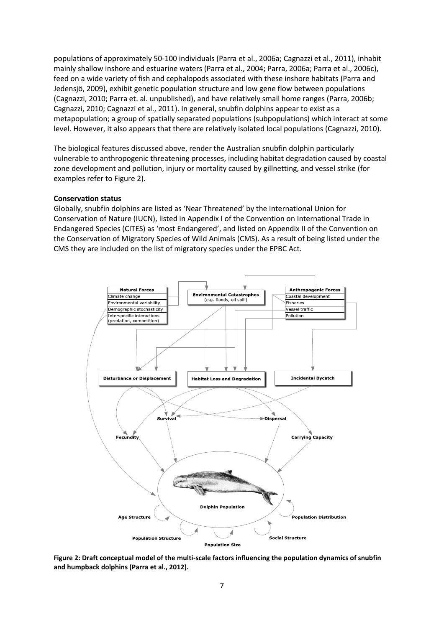populations of approximately 50-100 individuals [\(Parra et al., 2006a;](#page-20-6) [Cagnazzi et al., 2011\)](#page-18-5), inhabit mainly shallow inshore and estuarine waters [\(Parra et al., 2004;](#page-20-4) [Parra, 2006a;](#page-20-5) [Parra et al., 2006c\)](#page-20-7), feed on a wide variety of fish and cephalopods associated with these inshore habitats [\(Parra and](#page-20-9)  [Jedensjö, 2009\)](#page-20-9), exhibit genetic population structure and low gene flow between populations [\(Cagnazzi, 2010; Parra et. al. unpublished\)](#page-18-7), and have relatively small home ranges [\(Parra, 2006b;](#page-20-15) [Cagnazzi, 2010;](#page-18-7) [Cagnazzi et al., 2011\)](#page-18-5). In general, snubfin dolphins appear to exist as a metapopulation; a group of spatially separated populations (subpopulations) which interact at some level. However, it also appears that there are relatively isolated local populations [\(Cagnazzi, 2010\)](#page-18-7).

The biological features discussed above, render the Australian snubfin dolphin particularly vulnerable to anthropogenic threatening processes, including habitat degradation caused by coastal zone development and pollution, injury or mortality caused by gillnetting, and vessel strike (for examples refer to Figure 2).

#### **Conservation status**

Globally, snubfin dolphins are listed as 'Near Threatened' by the International Union for Conservation of Nature (IUCN), listed in Appendix I of the Convention on International Trade in Endangered Species (CITES) as 'most Endangered', and listed on Appendix II of the Convention on the Conservation of Migratory Species of Wild Animals (CMS). As a result of being listed under the CMS they are included on the list of migratory species under the EPBC Act.



**Figure 2: Draft conceptual model of the multi-scale factors influencing the population dynamics of snubfin and humpback dolphins (Parra et al., 2012).**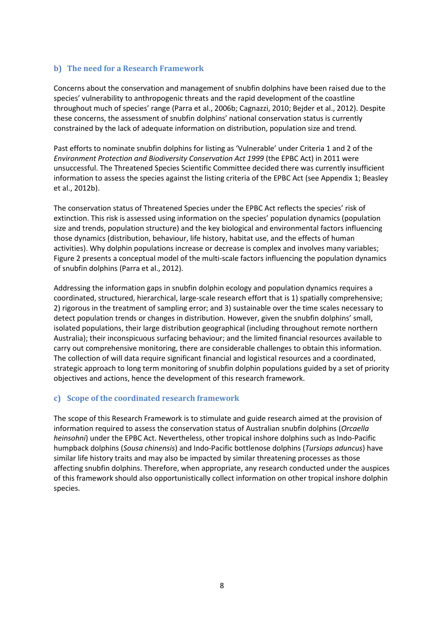#### <span id="page-7-0"></span>**b) The need for a Research Framework**

Concerns about the conservation and management of snubfin dolphins have been raised due to the species' vulnerability to anthropogenic threats and the rapid development of the coastline throughout much of species' range [\(Parra et al., 2006b;](#page-20-16) [Cagnazzi, 2010;](#page-18-7) [Bejder et al., 2012\)](#page-18-8). Despite these concerns, the assessment of snubfin dolphins' national conservation status is currently constrained by the lack of adequate information on distribution, population size and trend*.*

Past efforts to nominate snubfin dolphins for listing as 'Vulnerable' under Criteria 1 and 2 of the *Environment Protection and Biodiversity Conservation Act 1999* (the EPBC Act) in 2011 were unsuccessful. The Threatened Species Scientific Committee decided there was currently insufficient information to assess the species against the listing criteria of the EPBC Act [\(see Appendix 1; Beasley](#page-18-9)  [et al., 2012b\)](#page-18-9).

The conservation status of Threatened Species under the EPBC Act reflects the species' risk of extinction. This risk is assessed using information on the species' population dynamics (population size and trends, population structure) and the key biological and environmental factors influencing those dynamics (distribution, behaviour, life history, habitat use, and the effects of human activities). Why dolphin populations increase or decrease is complex and involves many variables; Figure 2 presents a conceptual model of the multi-scale factors influencing the population dynamics of snubfin dolphins [\(Parra et al., 2012\)](#page-20-17).

Addressing the information gaps in snubfin dolphin ecology and population dynamics requires a coordinated, structured, hierarchical, large-scale research effort that is 1) spatially comprehensive; 2) rigorous in the treatment of sampling error; and 3) sustainable over the time scales necessary to detect population trends or changes in distribution. However, given the snubfin dolphins' small, isolated populations, their large distribution geographical (including throughout remote northern Australia); their inconspicuous surfacing behaviour; and the limited financial resources available to carry out comprehensive monitoring, there are considerable challenges to obtain this information. The collection of will data require significant financial and logistical resources and a coordinated, strategic approach to long term monitoring of snubfin dolphin populations guided by a set of priority objectives and actions, hence the development of this research framework.

#### <span id="page-7-1"></span>**c) Scope of the coordinated research framework**

The scope of this Research Framework is to stimulate and guide research aimed at the provision of information required to assess the conservation status of Australian snubfin dolphins (*Orcaella heinsohni*) under the EPBC Act. Nevertheless, other tropical inshore dolphins such as Indo-Pacific humpback dolphins (*Sousa chinensis*) and Indo-Pacific bottlenose dolphins (*Tursiops aduncus*) have similar life history traits and may also be impacted by similar threatening processes as those affecting snubfin dolphins. Therefore, when appropriate, any research conducted under the auspices of this framework should also opportunistically collect information on other tropical inshore dolphin species.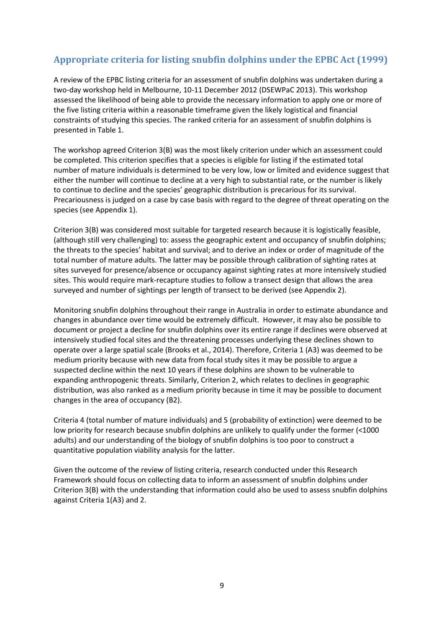# <span id="page-8-0"></span>**Appropriate criteria for listing snubfin dolphins under the EPBC Act (1999)**

A review of the EPBC listing criteria for an assessment of snubfin dolphins was undertaken during a two-day workshop held in Melbourne, 10-11 December 2012 [\(DSEWPaC 2013\)](#page-19-0). This workshop assessed the likelihood of being able to provide the necessary information to apply one or more of the five listing criteria within a reasonable timeframe given the likely logistical and financial constraints of studying this species. The ranked criteria for an assessment of snubfin dolphins is presented in Table 1.

The workshop agreed Criterion 3(B) was the most likely criterion under which an assessment could be completed. This criterion specifies that a species is eligible for listing if the estimated total number of mature individuals is determined to be very low, low or limited and evidence suggest that either the number will continue to decline at a very high to substantial rate, or the number is likely to continue to decline and the species' geographic distribution is precarious for its survival. Precariousness is judged on a case by case basis with regard to the degree of threat operating on the species (see Appendix 1).

Criterion 3(B) was considered most suitable for targeted research because it is logistically feasible, (although still very challenging) to: assess the geographic extent and occupancy of snubfin dolphins; the threats to the species' habitat and survival; and to derive an index or order of magnitude of the total number of mature adults. The latter may be possible through calibration of sighting rates at sites surveyed for presence/absence or occupancy against sighting rates at more intensively studied sites. This would require mark-recapture studies to follow a transect design that allows the area surveyed and number of sightings per length of transect to be derived (see Appendix 2).

Monitoring snubfin dolphins throughout their range in Australia in order to estimate abundance and changes in abundance over time would be extremely difficult. However, it may also be possible to document or project a decline for snubfin dolphins over its entire range if declines were observed at intensively studied focal sites and the threatening processes underlying these declines shown to operate over a large spatial scale (Brooks et al., 2014). Therefore, Criteria 1 (A3) was deemed to be medium priority because with new data from focal study sites it may be possible to argue a suspected decline within the next 10 years if these dolphins are shown to be vulnerable to expanding anthropogenic threats. Similarly, Criterion 2, which relates to declines in geographic distribution, was also ranked as a medium priority because in time it may be possible to document changes in the area of occupancy (B2).

Criteria 4 (total number of mature individuals) and 5 (probability of extinction) were deemed to be low priority for research because snubfin dolphins are unlikely to qualify under the former (<1000 adults) and our understanding of the biology of snubfin dolphins is too poor to construct a quantitative population viability analysis for the latter.

Given the outcome of the review of listing criteria, research conducted under this Research Framework should focus on collecting data to inform an assessment of snubfin dolphins under Criterion 3(B) with the understanding that information could also be used to assess snubfin dolphins against Criteria 1(A3) and 2.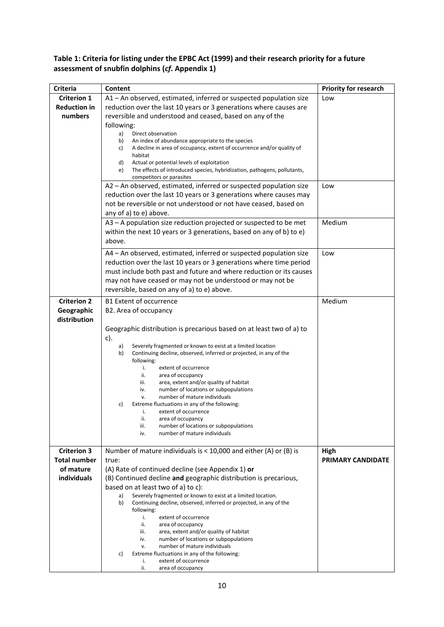## **Table 1: Criteria for listing under the EPBC Act (1999) and their research priority for a future assessment of snubfin dolphins (***cf***. Appendix 1)**

| <b>Criteria</b>     | Content                                                                                                                                        | <b>Priority for research</b> |
|---------------------|------------------------------------------------------------------------------------------------------------------------------------------------|------------------------------|
| <b>Criterion 1</b>  | A1 - An observed, estimated, inferred or suspected population size                                                                             | Low                          |
| <b>Reduction in</b> | reduction over the last 10 years or 3 generations where causes are                                                                             |                              |
| numbers             | reversible and understood and ceased, based on any of the                                                                                      |                              |
|                     | following:                                                                                                                                     |                              |
|                     | a)<br>Direct observation                                                                                                                       |                              |
|                     | An index of abundance appropriate to the species<br>b)                                                                                         |                              |
|                     | A decline in area of occupancy, extent of occurrence and/or quality of<br>C)                                                                   |                              |
|                     | habitat<br>d)<br>Actual or potential levels of exploitation                                                                                    |                              |
|                     | The effects of introduced species, hybridization, pathogens, pollutants,<br>e)                                                                 |                              |
|                     | competitors or parasites                                                                                                                       |                              |
|                     | A2 - An observed, estimated, inferred or suspected population size                                                                             | Low                          |
|                     | reduction over the last 10 years or 3 generations where causes may                                                                             |                              |
|                     | not be reversible or not understood or not have ceased, based on                                                                               |                              |
|                     | any of a) to e) above.                                                                                                                         |                              |
|                     |                                                                                                                                                |                              |
|                     | A3 - A population size reduction projected or suspected to be met                                                                              | Medium                       |
|                     | within the next 10 years or 3 generations, based on any of b) to e)                                                                            |                              |
|                     | above.                                                                                                                                         |                              |
|                     | A4 - An observed, estimated, inferred or suspected population size                                                                             | Low                          |
|                     | reduction over the last 10 years or 3 generations where time period                                                                            |                              |
|                     | must include both past and future and where reduction or its causes                                                                            |                              |
|                     | may not have ceased or may not be understood or may not be                                                                                     |                              |
|                     |                                                                                                                                                |                              |
|                     | reversible, based on any of a) to e) above.                                                                                                    |                              |
| <b>Criterion 2</b>  | <b>B1 Extent of occurrence</b>                                                                                                                 | Medium                       |
| Geographic          | B2. Area of occupancy                                                                                                                          |                              |
| distribution        |                                                                                                                                                |                              |
|                     | Geographic distribution is precarious based on at least two of a) to                                                                           |                              |
|                     | $c$ ).                                                                                                                                         |                              |
|                     | Severely fragmented or known to exist at a limited location<br>a)                                                                              |                              |
|                     | Continuing decline, observed, inferred or projected, in any of the<br>b)                                                                       |                              |
|                     | following:                                                                                                                                     |                              |
|                     | extent of occurrence<br>i.                                                                                                                     |                              |
|                     | ii.<br>area of occupancy<br>area, extent and/or quality of habitat<br>iii.                                                                     |                              |
|                     | number of locations or subpopulations<br>iv.                                                                                                   |                              |
|                     | number of mature individuals<br>٧.                                                                                                             |                              |
|                     | Extreme fluctuations in any of the following:<br>C)                                                                                            |                              |
|                     | extent of occurrence<br>i.                                                                                                                     |                              |
|                     | area of occupancy<br>ii.<br>number of locations or subpopulations                                                                              |                              |
|                     | iii.<br>number of mature individuals<br>iv.                                                                                                    |                              |
|                     |                                                                                                                                                |                              |
| <b>Criterion 3</b>  | Number of mature individuals is < 10,000 and either (A) or (B) is                                                                              | High                         |
| <b>Total number</b> | true:                                                                                                                                          | <b>PRIMARY CANDIDATE</b>     |
| of mature           | (A) Rate of continued decline (see Appendix 1) or                                                                                              |                              |
|                     |                                                                                                                                                |                              |
| <b>individuals</b>  | (B) Continued decline and geographic distribution is precarious,                                                                               |                              |
|                     | based on at least two of a) to c):                                                                                                             |                              |
|                     | Severely fragmented or known to exist at a limited location.<br>a)<br>b)<br>Continuing decline, observed, inferred or projected, in any of the |                              |
|                     | following:                                                                                                                                     |                              |
|                     | extent of occurrence<br>i.                                                                                                                     |                              |
|                     | ii.<br>area of occupancy                                                                                                                       |                              |
|                     | area, extent and/or quality of habitat<br>iii.                                                                                                 |                              |
|                     | number of locations or subpopulations<br>iv.                                                                                                   |                              |
|                     | number of mature individuals<br>v.<br>Extreme fluctuations in any of the following:                                                            |                              |
|                     | C)<br>extent of occurrence<br>i.                                                                                                               |                              |
|                     | ii.<br>area of occupancy                                                                                                                       |                              |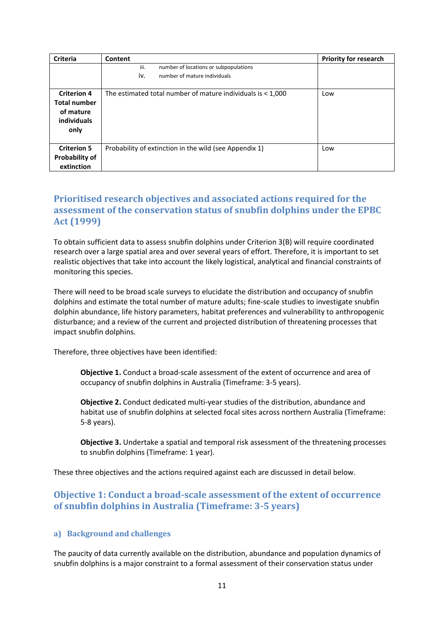| <b>Criteria</b>                                                               | Content                                                                              | <b>Priority for research</b> |
|-------------------------------------------------------------------------------|--------------------------------------------------------------------------------------|------------------------------|
|                                                                               | iii.<br>number of locations or subpopulations<br>iv.<br>number of mature individuals |                              |
| <b>Criterion 4</b><br><b>Total number</b><br>of mature<br>individuals<br>only | The estimated total number of mature individuals is $<$ 1,000                        | Low                          |
| <b>Criterion 5</b><br><b>Probability of</b><br>extinction                     | Probability of extinction in the wild (see Appendix 1)                               | Low                          |

# <span id="page-10-0"></span>**Prioritised research objectives and associated actions required for the assessment of the conservation status of snubfin dolphins under the EPBC Act (1999)**

To obtain sufficient data to assess snubfin dolphins under Criterion 3(B) will require coordinated research over a large spatial area and over several years of effort. Therefore, it is important to set realistic objectives that take into account the likely logistical, analytical and financial constraints of monitoring this species.

There will need to be broad scale surveys to elucidate the distribution and occupancy of snubfin dolphins and estimate the total number of mature adults; fine-scale studies to investigate snubfin dolphin abundance, life history parameters, habitat preferences and vulnerability to anthropogenic disturbance; and a review of the current and projected distribution of threatening processes that impact snubfin dolphins.

Therefore, three objectives have been identified:

**Objective 1.** Conduct a broad-scale assessment of the extent of occurrence and area of occupancy of snubfin dolphins in Australia (Timeframe: 3-5 years).

**Objective 2.** Conduct dedicated multi-year studies of the distribution, abundance and habitat use of snubfin dolphins at selected focal sites across northern Australia (Timeframe: 5-8 years).

**Objective 3.** Undertake a spatial and temporal risk assessment of the threatening processes to snubfin dolphins (Timeframe: 1 year).

These three objectives and the actions required against each are discussed in detail below.

## <span id="page-10-1"></span>**Objective 1: Conduct a broad-scale assessment of the extent of occurrence of snubfin dolphins in Australia (Timeframe: 3-5 years)**

#### <span id="page-10-2"></span>**a) Background and challenges**

The paucity of data currently available on the distribution, abundance and population dynamics of snubfin dolphins is a major constraint to a formal assessment of their conservation status under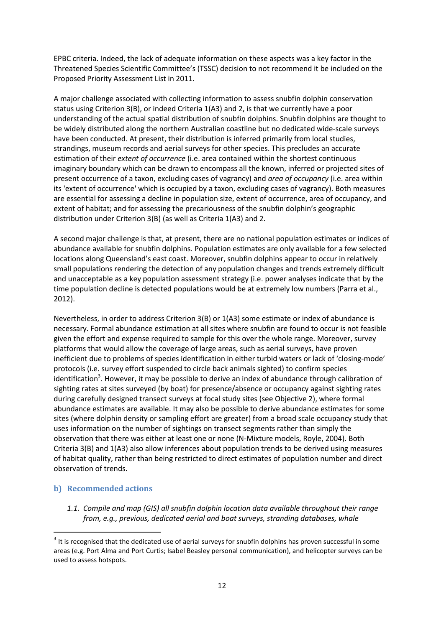EPBC criteria. Indeed, the lack of adequate information on these aspects was a key factor in the Threatened Species Scientific Committee's (TSSC) decision to not recommend it be included on the Proposed Priority Assessment List in 2011.

A major challenge associated with collecting information to assess snubfin dolphin conservation status using Criterion 3(B), or indeed Criteria 1(A3) and 2, is that we currently have a poor understanding of the actual spatial distribution of snubfin dolphins. Snubfin dolphins are thought to be widely distributed along the northern Australian coastline but no dedicated wide-scale surveys have been conducted. At present, their distribution is inferred primarily from local studies, strandings, museum records and aerial surveys for other species. This precludes an accurate estimation of their *extent of occurrence* (i.e. area contained within the shortest continuous imaginary boundary which can be drawn to encompass all the known, inferred or projected sites of present occurrence of a taxon, excluding cases of vagrancy) and *area of occupancy* (i.e. area within its 'extent of occurrence' which is occupied by a taxon, excluding cases of vagrancy). Both measures are essential for assessing a decline in population size, extent of occurrence, area of occupancy, and extent of habitat; and for assessing the precariousness of the snubfin dolphin's geographic distribution under Criterion 3(B) (as well as Criteria 1(A3) and 2.

A second major challenge is that, at present, there are no national population estimates or indices of abundance available for snubfin dolphins. Population estimates are only available for a few selected locations along Queensland's east coast. Moreover, snubfin dolphins appear to occur in relatively small populations rendering the detection of any population changes and trends extremely difficult and unacceptable as a key population assessment strategy (i.e. power analyses indicate that by the time population decline is detected populations would be at extremely low numbers [\(Parra et al.,](#page-20-17)  [2012\)](#page-20-17).

Nevertheless, in order to address Criterion 3(B) or 1(A3) some estimate or index of abundance is necessary. Formal abundance estimation at all sites where snubfin are found to occur is not feasible given the effort and expense required to sample for this over the whole range. Moreover, survey platforms that would allow the coverage of large areas, such as aerial surveys, have proven inefficient due to problems of species identification in either turbid waters or lack of 'closing-mode' protocols (i.e. survey effort suspended to circle back animals sighted) to confirm species identification<sup>3</sup>. However, it may be possible to derive an index of abundance through calibration of sighting rates at sites surveyed (by boat) for presence/absence or occupancy against sighting rates during carefully designed transect surveys at focal study sites (see Objective 2), where formal abundance estimates are available. It may also be possible to derive abundance estimates for some sites (where dolphin density or sampling effort are greater) from a broad scale occupancy study that uses information on the number of sightings on transect segments rather than simply the observation that there was either at least one or none [\(N-Mixture models, Royle, 2004\)](#page-20-18). Both Criteria 3(B) and 1(A3) also allow inferences about population trends to be derived using measures of habitat quality, rather than being restricted to direct estimates of population number and direct observation of trends.

#### <span id="page-11-0"></span>**b) Recommended actions**

**.** 

*1.1. Compile and map (GIS) all snubfin dolphin location data available throughout their range from, e.g., previous, dedicated aerial and boat surveys, stranding databases, whale* 

 $3$  It is recognised that the dedicated use of aerial surveys for snubfin dolphins has proven successful in some areas (e.g. Port Alma and Port Curtis; Isabel Beasley personal communication), and helicopter surveys can be used to assess hotspots.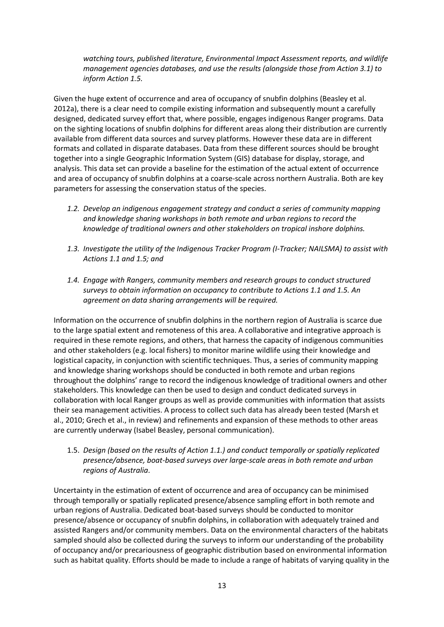*watching tours, published literature, Environmental Impact Assessment reports, and wildlife management agencies databases, and use the results (alongside those from Action 3.1) to inform Action 1.5.*

Given the huge extent of occurrence and area of occupancy of snubfin dolphins (Beasley et al. 2012a), there is a clear need to compile existing information and subsequently mount a carefully designed, dedicated survey effort that, where possible, engages indigenous Ranger programs. Data on the sighting locations of snubfin dolphins for different areas along their distribution are currently available from different data sources and survey platforms. However these data are in different formats and collated in disparate databases. Data from these different sources should be brought together into a single Geographic Information System (GIS) database for display, storage, and analysis. This data set can provide a baseline for the estimation of the actual extent of occurrence and area of occupancy of snubfin dolphins at a coarse-scale across northern Australia. Both are key parameters for assessing the conservation status of the species.

- *1.2. Develop an indigenous engagement strategy and conduct a series of community mapping and knowledge sharing workshops in both remote and urban regions to record the knowledge of traditional owners and other stakeholders on tropical inshore dolphins.*
- *1.3. Investigate the utility of the Indigenous Tracker Program (I-Tracker; NAILSMA) to assist with Actions 1.1 and 1.5; and*
- *1.4. Engage with Rangers, community members and research groups to conduct structured surveys to obtain information on occupancy to contribute to Actions 1.1 and 1.5. An agreement on data sharing arrangements will be required.*

Information on the occurrence of snubfin dolphins in the northern region of Australia is scarce due to the large spatial extent and remoteness of this area. A collaborative and integrative approach is required in these remote regions, and others, that harness the capacity of indigenous communities and other stakeholders (e.g. local fishers) to monitor marine wildlife using their knowledge and logistical capacity, in conjunction with scientific techniques. Thus, a series of community mapping and knowledge sharing workshops should be conducted in both remote and urban regions throughout the dolphins' range to record the indigenous knowledge of traditional owners and other stakeholders. This knowledge can then be used to design and conduct dedicated surveys in collaboration with local Ranger groups as well as provide communities with information that assists their sea management activities. A process to collect such data has already been tested [\(Marsh et](#page-19-5)  [al., 2010;](#page-19-5) [Grech et al., in review\)](#page-19-6) and refinements and expansion of these methods to other areas are currently underway (Isabel Beasley, personal communication).

1.5. *Design (based on the results of Action 1.1.) and conduct temporally or spatially replicated presence/absence, boat-based surveys over large-scale areas in both remote and urban regions of Australia*.

Uncertainty in the estimation of extent of occurrence and area of occupancy can be minimised through temporally or spatially replicated presence/absence sampling effort in both remote and urban regions of Australia. Dedicated boat-based surveys should be conducted to monitor presence/absence or occupancy of snubfin dolphins, in collaboration with adequately trained and assisted Rangers and/or community members. Data on the environmental characters of the habitats sampled should also be collected during the surveys to inform our understanding of the probability of occupancy and/or precariousness of geographic distribution based on environmental information such as habitat quality. Efforts should be made to include a range of habitats of varying quality in the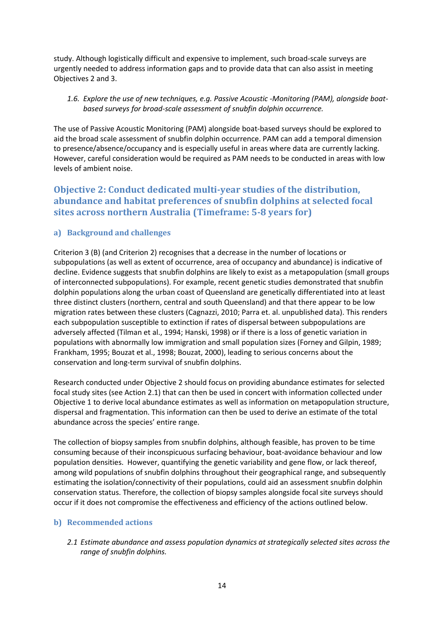study. Although logistically difficult and expensive to implement, such broad-scale surveys are urgently needed to address information gaps and to provide data that can also assist in meeting Objectives 2 and 3.

#### *1.6. Explore the use of new techniques, e.g. Passive Acoustic -Monitoring (PAM), alongside boatbased surveys for broad-scale assessment of snubfin dolphin occurrence.*

The use of Passive Acoustic Monitoring (PAM) alongside boat-based surveys should be explored to aid the broad scale assessment of snubfin dolphin occurrence. PAM can add a temporal dimension to presence/absence/occupancy and is especially useful in areas where data are currently lacking. However, careful consideration would be required as PAM needs to be conducted in areas with low levels of ambient noise.

# <span id="page-13-0"></span>**Objective 2: Conduct dedicated multi-year studies of the distribution, abundance and habitat preferences of snubfin dolphins at selected focal sites across northern Australia (Timeframe: 5-8 years for)**

### <span id="page-13-1"></span>**a) Background and challenges**

Criterion 3 (B) (and Criterion 2) recognises that a decrease in the number of locations or subpopulations (as well as extent of occurrence, area of occupancy and abundance) is indicative of decline. Evidence suggests that snubfin dolphins are likely to exist as a metapopulation (small groups of interconnected subpopulations). For example, recent genetic studies demonstrated that snubfin dolphin populations along the urban coast of Queensland are genetically differentiated into at least three distinct clusters (northern, central and south Queensland) and that there appear to be low migration rates between these clusters [\(Cagnazzi, 2010; Parra et. al. unpublished data\)](#page-18-7). This renders each subpopulation susceptible to extinction if rates of dispersal between subpopulations are adversely affected [\(Tilman et al., 1994;](#page-20-19) [Hanski, 1998\)](#page-19-7) or if there is a loss of genetic variation in populations with abnormally low immigration and small population sizes [\(Forney and Gilpin, 1989;](#page-19-8) [Frankham, 1995;](#page-19-9) [Bouzat et al., 1998;](#page-18-10) [Bouzat, 2000\)](#page-18-11), leading to serious concerns about the conservation and long-term survival of snubfin dolphins.

Research conducted under Objective 2 should focus on providing abundance estimates for selected focal study sites (see Action 2.1) that can then be used in concert with information collected under Objective 1 to derive local abundance estimates as well as information on metapopulation structure, dispersal and fragmentation. This information can then be used to derive an estimate of the total abundance across the species' entire range.

The collection of biopsy samples from snubfin dolphins, although feasible, has proven to be time consuming because of their inconspicuous surfacing behaviour, boat-avoidance behaviour and low population densities. However, quantifying the genetic variability and gene flow, or lack thereof, among wild populations of snubfin dolphins throughout their geographical range, and subsequently estimating the isolation/connectivity of their populations, could aid an assessment snubfin dolphin conservation status. Therefore, the collection of biopsy samples alongside focal site surveys should occur if it does not compromise the effectiveness and efficiency of the actions outlined below.

#### <span id="page-13-2"></span>**b) Recommended actions**

*2.1 Estimate abundance and assess population dynamics at strategically selected sites across the range of snubfin dolphins.*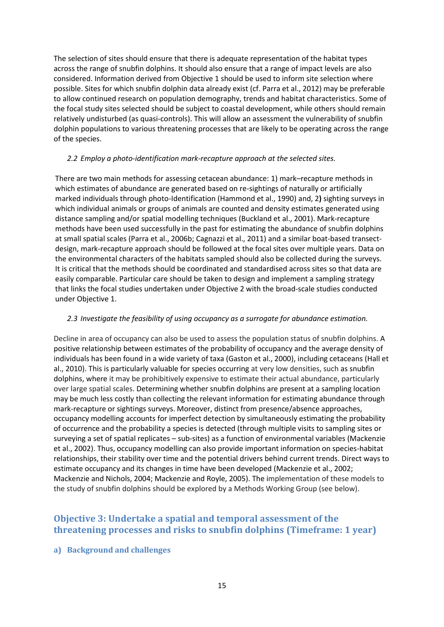The selection of sites should ensure that there is adequate representation of the habitat types across the range of snubfin dolphins. It should also ensure that a range of impact levels are also considered. Information derived from Objective 1 should be used to inform site selection where possible. Sites for which snubfin dolphin data already exist [\(cf. Parra et al., 2012\)](#page-20-17) may be preferable to allow continued research on population demography, trends and habitat characteristics. Some of the focal study sites selected should be subject to coastal development, while others should remain relatively undisturbed (as quasi-controls). This will allow an assessment the vulnerability of snubfin dolphin populations to various threatening processes that are likely to be operating across the range of the species.

#### *2.2 Employ a photo-identification mark-recapture approach at the selected sites.*

There are two main methods for assessing cetacean abundance: 1) mark–recapture methods in which estimates of abundance are generated based on re-sightings of naturally or artificially marked individuals through photo-Identification [\(Hammond et al., 1990\)](#page-19-10) and, 2**)** sighting surveys in which individual animals or groups of animals are counted and density estimates generated using distance sampling and/or spatial modelling techniques [\(Buckland et al., 2001\)](#page-18-12). Mark-recapture methods have been used successfully in the past for estimating the abundance of snubfin dolphins at small spatial scales [\(Parra et al., 2006b;](#page-20-16) [Cagnazzi et al., 2011\)](#page-18-5) and a similar boat-based transectdesign, mark-recapture approach should be followed at the focal sites over multiple years. Data on the environmental characters of the habitats sampled should also be collected during the surveys. It is critical that the methods should be coordinated and standardised across sites so that data are easily comparable. Particular care should be taken to design and implement a sampling strategy that links the focal studies undertaken under Objective 2 with the broad-scale studies conducted under Objective 1.

#### *2.3 Investigate the feasibility of using occupancy as a surrogate for abundance estimation.*

Decline in area of occupancy can also be used to assess the population status of snubfin dolphins. A positive relationship between estimates of the probability of occupancy and the average density of individuals has been found in a wide variety of taxa [\(Gaston et al., 2000\)](#page-19-11), including cetaceans [\(Hall et](#page-19-12)  [al., 2010\)](#page-19-12). This is particularly valuable for species occurring at very low densities, such as snubfin dolphins, where it may be prohibitively expensive to estimate their actual abundance, particularly over large spatial scales. Determining whether snubfin dolphins are present at a sampling location may be much less costly than collecting the relevant information for estimating abundance through mark-recapture or sightings surveys. Moreover, distinct from presence/absence approaches, occupancy modelling accounts for imperfect detection by simultaneously estimating the probability of occurrence and the probability a species is detected (through multiple visits to sampling sites or surveying a set of spatial replicates – sub-sites) as a function of environmental variables [\(Mackenzie](#page-19-13)  [et al., 2002\)](#page-19-13). Thus, occupancy modelling can also provide important information on species-habitat relationships, their stability over time and the potential drivers behind current trends. Direct ways to estimate occupancy and its changes in time have been developed [\(Mackenzie et al., 2002;](#page-19-13) [Mackenzie and Nichols, 2004;](#page-19-14) [Mackenzie and Royle, 2005\)](#page-19-15). The implementation of these models to the study of snubfin dolphins should be explored by a Methods Working Group (see below).

## <span id="page-14-0"></span>**Objective 3: Undertake a spatial and temporal assessment of the threatening processes and risks to snubfin dolphins (Timeframe: 1 year)**

#### <span id="page-14-1"></span>**a) Background and challenges**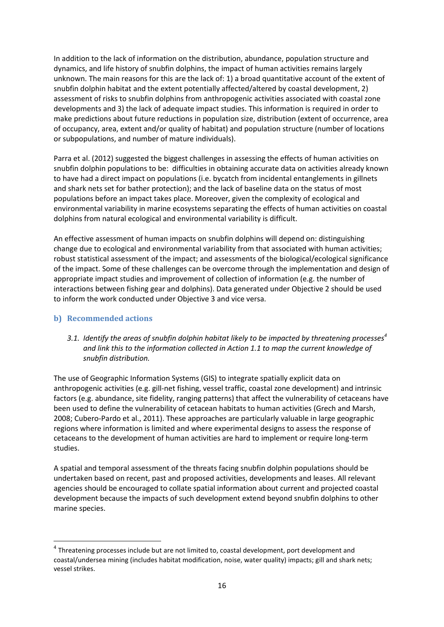In addition to the lack of information on the distribution, abundance, population structure and dynamics, and life history of snubfin dolphins, the impact of human activities remains largely unknown. The main reasons for this are the lack of: 1) a broad quantitative account of the extent of snubfin dolphin habitat and the extent potentially affected/altered by coastal development, 2) assessment of risks to snubfin dolphins from anthropogenic activities associated with coastal zone developments and 3) the lack of adequate impact studies. This information is required in order to make predictions about future reductions in population size, distribution (extent of occurrence, area of occupancy, area, extent and/or quality of habitat) and population structure (number of locations or subpopulations, and number of mature individuals).

Parra et al. (2012) suggested the biggest challenges in assessing the effects of human activities on snubfin dolphin populations to be: difficulties in obtaining accurate data on activities already known to have had a direct impact on populations (i.e. bycatch from incidental entanglements in gillnets and shark nets set for bather protection); and the lack of baseline data on the status of most populations before an impact takes place. Moreover, given the complexity of ecological and environmental variability in marine ecosystems separating the effects of human activities on coastal dolphins from natural ecological and environmental variability is difficult.

An effective assessment of human impacts on snubfin dolphins will depend on: distinguishing change due to ecological and environmental variability from that associated with human activities; robust statistical assessment of the impact; and assessments of the biological/ecological significance of the impact. Some of these challenges can be overcome through the implementation and design of appropriate impact studies and improvement of collection of information (e.g. the number of interactions between fishing gear and dolphins). Data generated under Objective 2 should be used to inform the work conducted under Objective 3 and vice versa.

#### <span id="page-15-0"></span>**b) Recommended actions**

 $\overline{a}$ 

*3.1. Identify the areas of snubfin dolphin habitat likely to be impacted by threatening processes<sup>4</sup> and link this to the information collected in Action 1.1 to map the current knowledge of snubfin distribution.* 

The use of Geographic Information Systems (GIS) to integrate spatially explicit data on anthropogenic activities (e.g. gill-net fishing, vessel traffic, coastal zone development) and intrinsic factors (e.g. abundance, site fidelity, ranging patterns) that affect the vulnerability of cetaceans have been used to define the vulnerability of cetacean habitats to human activities [\(Grech and Marsh,](#page-19-16)  [2008;](#page-19-16) [Cubero-Pardo et al., 2011\)](#page-19-17). These approaches are particularly valuable in large geographic regions where information is limited and where experimental designs to assess the response of cetaceans to the development of human activities are hard to implement or require long-term studies.

A spatial and temporal assessment of the threats facing snubfin dolphin populations should be undertaken based on recent, past and proposed activities, developments and leases. All relevant agencies should be encouraged to collate spatial information about current and projected coastal development because the impacts of such development extend beyond snubfin dolphins to other marine species.

 $4$  Threatening processes include but are not limited to, coastal development, port development and coastal/undersea mining (includes habitat modification, noise, water quality) impacts; gill and shark nets; vessel strikes.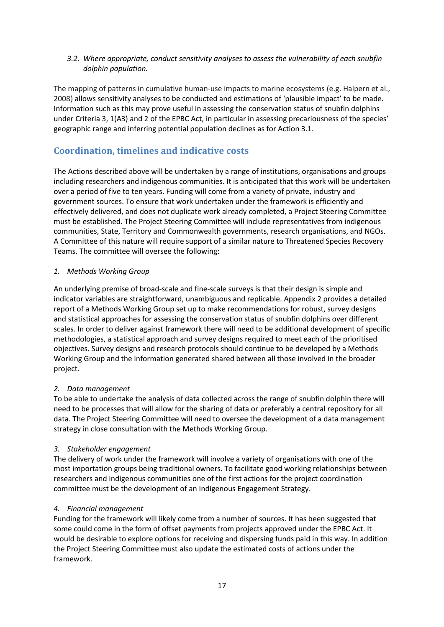#### *3.2. Where appropriate, conduct sensitivity analyses to assess the vulnerability of each snubfin dolphin population.*

The mapping of patterns in cumulative human-use impacts to marine ecosystems [\(e.g. Halpern et al.,](#page-19-18)  [2008\)](#page-19-18) allows sensitivity analyses to be conducted and estimations of 'plausible impact' to be made. Information such as this may prove useful in assessing the conservation status of snubfin dolphins under Criteria 3, 1(A3) and 2 of the EPBC Act, in particular in assessing precariousness of the species' geographic range and inferring potential population declines as for Action 3.1.

# <span id="page-16-0"></span>**Coordination, timelines and indicative costs**

The Actions described above will be undertaken by a range of institutions, organisations and groups including researchers and indigenous communities. It is anticipated that this work will be undertaken over a period of five to ten years. Funding will come from a variety of private, industry and government sources. To ensure that work undertaken under the framework is efficiently and effectively delivered, and does not duplicate work already completed, a Project Steering Committee must be established. The Project Steering Committee will include representatives from indigenous communities, State, Territory and Commonwealth governments, research organisations, and NGOs. A Committee of this nature will require support of a similar nature to Threatened Species Recovery Teams. The committee will oversee the following:

### *1. Methods Working Group*

An underlying premise of broad-scale and fine-scale surveys is that their design is simple and indicator variables are straightforward, unambiguous and replicable. Appendix 2 provides a detailed report of a Methods Working Group set up to make recommendations for robust, survey designs and statistical approaches for assessing the conservation status of snubfin dolphins over different scales. In order to deliver against framework there will need to be additional development of specific methodologies, a statistical approach and survey designs required to meet each of the prioritised objectives. Survey designs and research protocols should continue to be developed by a Methods Working Group and the information generated shared between all those involved in the broader project.

## *2. Data management*

To be able to undertake the analysis of data collected across the range of snubfin dolphin there will need to be processes that will allow for the sharing of data or preferably a central repository for all data. The Project Steering Committee will need to oversee the development of a data management strategy in close consultation with the Methods Working Group.

#### *3. Stakeholder engagement*

The delivery of work under the framework will involve a variety of organisations with one of the most importation groups being traditional owners. To facilitate good working relationships between researchers and indigenous communities one of the first actions for the project coordination committee must be the development of an Indigenous Engagement Strategy.

## *4. Financial management*

Funding for the framework will likely come from a number of sources. It has been suggested that some could come in the form of offset payments from projects approved under the EPBC Act. It would be desirable to explore options for receiving and dispersing funds paid in this way. In addition the Project Steering Committee must also update the estimated costs of actions under the framework.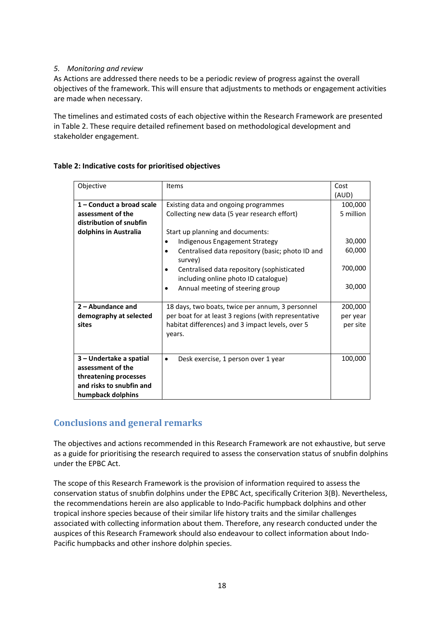#### *5. Monitoring and review*

As Actions are addressed there needs to be a periodic review of progress against the overall objectives of the framework. This will ensure that adjustments to methods or engagement activities are made when necessary.

The timelines and estimated costs of each objective within the Research Framework are presented in Table 2. These require detailed refinement based on methodological development and stakeholder engagement.

| Objective                                                                                                              | <b>Items</b>                                                                                                                                                                                                                                                                                                                                                                  | Cost<br>(AUD)                                                 |
|------------------------------------------------------------------------------------------------------------------------|-------------------------------------------------------------------------------------------------------------------------------------------------------------------------------------------------------------------------------------------------------------------------------------------------------------------------------------------------------------------------------|---------------------------------------------------------------|
| 1 - Conduct a broad scale<br>assessment of the<br>distribution of snubfin<br>dolphins in Australia                     | Existing data and ongoing programmes<br>Collecting new data (5 year research effort)<br>Start up planning and documents:<br>Indigenous Engagement Strategy<br>Centralised data repository (basic; photo ID and<br>$\bullet$<br>survey)<br>Centralised data repository (sophisticated<br>including online photo ID catalogue)<br>Annual meeting of steering group<br>$\bullet$ | 100,000<br>5 million<br>30,000<br>60,000<br>700,000<br>30,000 |
| $2 -$ Abundance and<br>demography at selected<br>sites                                                                 | 18 days, two boats, twice per annum, 3 personnel<br>per boat for at least 3 regions (with representative<br>habitat differences) and 3 impact levels, over 5<br>years.                                                                                                                                                                                                        | 200,000<br>per year<br>per site                               |
| 3 – Undertake a spatial<br>assessment of the<br>threatening processes<br>and risks to snubfin and<br>humpback dolphins | Desk exercise, 1 person over 1 year<br>$\bullet$                                                                                                                                                                                                                                                                                                                              | 100,000                                                       |

#### **Table 2: Indicative costs for prioritised objectives**

## <span id="page-17-0"></span>**Conclusions and general remarks**

The objectives and actions recommended in this Research Framework are not exhaustive, but serve as a guide for prioritising the research required to assess the conservation status of snubfin dolphins under the EPBC Act.

The scope of this Research Framework is the provision of information required to assess the conservation status of snubfin dolphins under the EPBC Act, specifically Criterion 3(B). Nevertheless, the recommendations herein are also applicable to Indo-Pacific humpback dolphins and other tropical inshore species because of their similar life history traits and the similar challenges associated with collecting information about them. Therefore, any research conducted under the auspices of this Research Framework should also endeavour to collect information about Indo-Pacific humpbacks and other inshore dolphin species.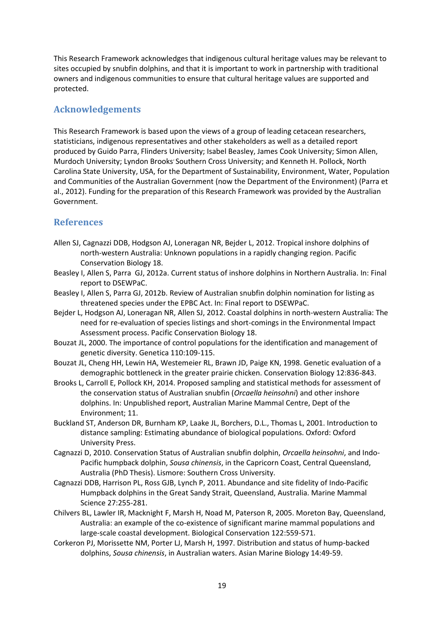This Research Framework acknowledges that indigenous cultural heritage values may be relevant to sites occupied by snubfin dolphins, and that it is important to work in partnership with traditional owners and indigenous communities to ensure that cultural heritage values are supported and protected.

## <span id="page-18-0"></span>**Acknowledgements**

This Research Framework is based upon the views of a group of leading cetacean researchers, statisticians, indigenous representatives and other stakeholders as well as a detailed report produced by Guido Parra, Flinders University; Isabel Beasley, James Cook University; Simon Allen, Murdoch University; Lyndon Brooks' Southern Cross University; and Kenneth H. Pollock, North Carolina State University, USA, for the Department of Sustainability, Environment, Water, Population and Communities of the Australian Government (now the Department of the Environment) (Parra et al., 2012). Funding for the preparation of this Research Framework was provided by the Australian Government.

## <span id="page-18-1"></span>**References**

- <span id="page-18-2"></span>Allen SJ, Cagnazzi DDB, Hodgson AJ, Loneragan NR, Bejder L, 2012. Tropical inshore dolphins of north-western Australia: Unknown populations in a rapidly changing region. Pacific Conservation Biology 18.
- <span id="page-18-6"></span>Beasley I, Allen S, Parra GJ, 2012a. Current status of inshore dolphins in Northern Australia. In: Final report to DSEWPaC.
- <span id="page-18-9"></span>Beasley I, Allen S, Parra GJ, 2012b. Review of Australian snubfin dolphin nomination for listing as threatened species under the EPBC Act. In: Final report to DSEWPaC.
- <span id="page-18-8"></span>Bejder L, Hodgson AJ, Loneragan NR, Allen SJ, 2012. Coastal dolphins in north-western Australia: The need for re-evaluation of species listings and short-comings in the Environmental Impact Assessment process. Pacific Conservation Biology 18.
- <span id="page-18-11"></span>Bouzat JL, 2000. The importance of control populations for the identification and management of genetic diversity. Genetica 110:109-115.
- <span id="page-18-10"></span>Bouzat JL, Cheng HH, Lewin HA, Westemeier RL, Brawn JD, Paige KN, 1998. Genetic evaluation of a demographic bottleneck in the greater prairie chicken. Conservation Biology 12:836-843.
- Brooks L, Carroll E, Pollock KH, 2014. Proposed sampling and statistical methods for assessment of the conservation status of Australian snubfin (*Orcaella heinsohni*) and other inshore dolphins. In: Unpublished report, Australian Marine Mammal Centre, Dept of the Environment; 11.
- <span id="page-18-12"></span>Buckland ST, Anderson DR, Burnham KP, Laake JL, Borchers, D.L., Thomas L, 2001. Introduction to distance sampling: Estimating abundance of biological populations. Oxford: Oxford University Press.
- <span id="page-18-7"></span>Cagnazzi D, 2010. Conservation Status of Australian snubfin dolphin, *Orcaella heinsohni*, and Indo-Pacific humpback dolphin, *Sousa chinensis*, in the Capricorn Coast, Central Queensland, Australia (PhD Thesis). Lismore: Southern Cross University.
- <span id="page-18-5"></span>Cagnazzi DDB, Harrison PL, Ross GJB, Lynch P, 2011. Abundance and site fidelity of Indo-Pacific Humpback dolphins in the Great Sandy Strait, Queensland, Australia. Marine Mammal Science 27:255-281.
- <span id="page-18-4"></span>Chilvers BL, Lawler IR, Macknight F, Marsh H, Noad M, Paterson R, 2005. Moreton Bay, Queensland, Australia: an example of the co-existence of significant marine mammal populations and large-scale coastal development. Biological Conservation 122:559-571.
- <span id="page-18-3"></span>Corkeron PJ, Morissette NM, Porter LJ, Marsh H, 1997. Distribution and status of hump-backed dolphins, *Sousa chinensis*, in Australian waters. Asian Marine Biology 14:49-59.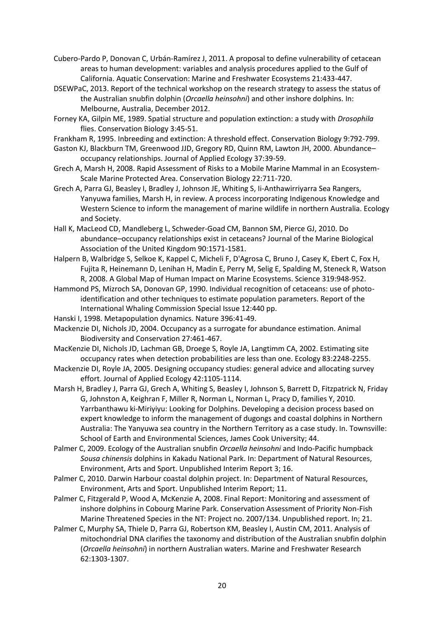<span id="page-19-17"></span>Cubero-Pardo P, Donovan C, Urbán-Ramírez J, 2011. A proposal to define vulnerability of cetacean areas to human development: variables and analysis procedures applied to the Gulf of California. Aquatic Conservation: Marine and Freshwater Ecosystems 21:433-447.

- <span id="page-19-0"></span>DSEWPaC, 2013. Report of the technical workshop on the research strategy to assess the status of the Australian snubfin dolphin (*Orcaella heinsohni*) and other inshore dolphins. In: Melbourne, Australia, December 2012.
- <span id="page-19-8"></span>Forney KA, Gilpin ME, 1989. Spatial structure and population extinction: a study with *Drosophila*  flies. Conservation Biology 3:45-51.
- <span id="page-19-9"></span>Frankham R, 1995. Inbreeding and extinction: A threshold effect. Conservation Biology 9:792-799.
- <span id="page-19-11"></span>Gaston KJ, Blackburn TM, Greenwood JJD, Gregory RD, Quinn RM, Lawton JH, 2000. Abundance– occupancy relationships. Journal of Applied Ecology 37:39-59.
- <span id="page-19-16"></span>Grech A, Marsh H, 2008. Rapid Assessment of Risks to a Mobile Marine Mammal in an Ecosystem-Scale Marine Protected Area. Conservation Biology 22:711-720.
- <span id="page-19-6"></span>Grech A, Parra GJ, Beasley I, Bradley J, Johnson JE, Whiting S, Ii-Anthawirriyarra Sea Rangers, Yanyuwa families, Marsh H, in review. A process incorporating Indigenous Knowledge and Western Science to inform the management of marine wildlife in northern Australia. Ecology and Society.
- <span id="page-19-12"></span>Hall K, MacLeod CD, Mandleberg L, Schweder-Goad CM, Bannon SM, Pierce GJ, 2010. Do abundance–occupancy relationships exist in cetaceans? Journal of the Marine Biological Association of the United Kingdom 90:1571-1581.
- <span id="page-19-18"></span>Halpern B, Walbridge S, Selkoe K, Kappel C, Micheli F, D'Agrosa C, Bruno J, Casey K, Ebert C, Fox H, Fujita R, Heinemann D, Lenihan H, Madin E, Perry M, Selig E, Spalding M, Steneck R, Watson R, 2008. A Global Map of Human Impact on Marine Ecosystems. Science 319:948-952.
- <span id="page-19-10"></span>Hammond PS, Mizroch SA, Donovan GP, 1990. Individual recognition of cetaceans: use of photoidentification and other techniques to estimate population parameters. Report of the International Whaling Commission Special Issue 12:440 pp.
- <span id="page-19-7"></span>Hanski I, 1998. Metapopulation dynamics. Nature 396:41-49.
- <span id="page-19-14"></span>Mackenzie DI, Nichols JD, 2004. Occupancy as a surrogate for abundance estimation. Animal Biodiversity and Conservation 27:461-467.
- <span id="page-19-13"></span>MacKenzie DI, Nichols JD, Lachman GB, Droege S, Royle JA, Langtimm CA, 2002. Estimating site occupancy rates when detection probabilities are less than one. Ecology 83:2248-2255.
- <span id="page-19-15"></span>Mackenzie DI, Royle JA, 2005. Designing occupancy studies: general advice and allocating survey effort. Journal of Applied Ecology 42:1105-1114.
- <span id="page-19-5"></span>Marsh H, Bradley J, Parra GJ, Grech A, Whiting S, Beasley I, Johnson S, Barrett D, Fitzpatrick N, Friday G, Johnston A, Keighran F, Miller R, Norman L, Norman L, Pracy D, families Y, 2010. Yarrbanthawu ki-Miriyiyu: Looking for Dolphins. Developing a decision process based on expert knowledge to inform the management of dugongs and coastal dolphins in Northern Australia: The Yanyuwa sea country in the Northern Territory as a case study. In. Townsville: School of Earth and Environmental Sciences, James Cook University; 44.
- <span id="page-19-2"></span>Palmer C, 2009. Ecology of the Australian snubfin *Orcaella heinsohni* and Indo-Pacific humpback *Sousa chinensis* dolphins in Kakadu National Park. In: Department of Natural Resources, Environment, Arts and Sport. Unpublished Interim Report 3; 16.
- <span id="page-19-3"></span>Palmer C, 2010. Darwin Harbour coastal dolphin project. In: Department of Natural Resources, Environment, Arts and Sport. Unpublished Interim Report; 11.
- <span id="page-19-1"></span>Palmer C, Fitzgerald P, Wood A, McKenzie A, 2008. Final Report: Monitoring and assessment of inshore dolphins in Cobourg Marine Park. Conservation Assessment of Priority Non-Fish Marine Threatened Species in the NT: Project no. 2007/134. Unpublished report. In; 21.
- <span id="page-19-4"></span>Palmer C, Murphy SA, Thiele D, Parra GJ, Robertson KM, Beasley I, Austin CM, 2011. Analysis of mitochondrial DNA clarifies the taxonomy and distribution of the Australian snubfin dolphin (*Orcaella heinsohni*) in northern Australian waters. Marine and Freshwater Research 62:1303-1307.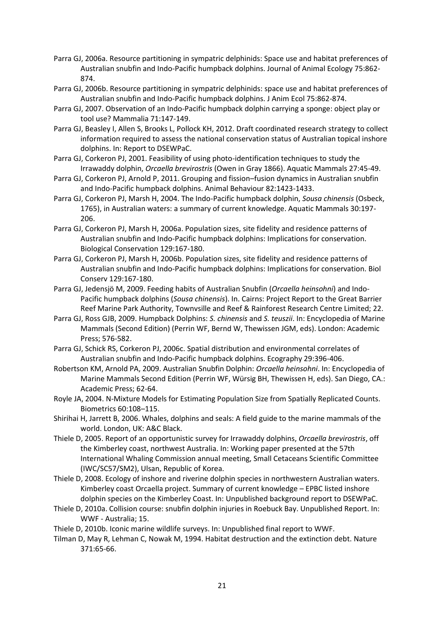- <span id="page-20-5"></span>Parra GJ, 2006a. Resource partitioning in sympatric delphinids: Space use and habitat preferences of Australian snubfin and Indo-Pacific humpback dolphins. Journal of Animal Ecology 75:862- 874.
- <span id="page-20-15"></span>Parra GJ, 2006b. Resource partitioning in sympatric delphinids: space use and habitat preferences of Australian snubfin and Indo-Pacific humpback dolphins. J Anim Ecol 75:862-874.
- <span id="page-20-8"></span>Parra GJ, 2007. Observation of an Indo-Pacific humpback dolphin carrying a sponge: object play or tool use? Mammalia 71:147-149.
- <span id="page-20-17"></span>Parra GJ, Beasley I, Allen S, Brooks L, Pollock KH, 2012. Draft coordinated research strategy to collect information required to assess the national conservation status of Australian topical inshore dolphins. In: Report to DSEWPaC.
- <span id="page-20-3"></span>Parra GJ, Corkeron PJ, 2001. Feasibility of using photo-identification techniques to study the Irrawaddy dolphin, *Orcaella brevirostris* (Owen in Gray 1866). Aquatic Mammals 27:45-49.
- <span id="page-20-10"></span>Parra GJ, Corkeron PJ, Arnold P, 2011. Grouping and fission–fusion dynamics in Australian snubfin and Indo-Pacific humpback dolphins. Animal Behaviour 82:1423-1433.
- <span id="page-20-4"></span>Parra GJ, Corkeron PJ, Marsh H, 2004. The Indo-Pacific humpback dolphin, *Sousa chinensis* (Osbeck, 1765), in Australian waters: a summary of current knowledge. Aquatic Mammals 30:197- 206.
- <span id="page-20-6"></span>Parra GJ, Corkeron PJ, Marsh H, 2006a. Population sizes, site fidelity and residence patterns of Australian snubfin and Indo-Pacific humpback dolphins: Implications for conservation. Biological Conservation 129:167-180.
- <span id="page-20-16"></span>Parra GJ, Corkeron PJ, Marsh H, 2006b. Population sizes, site fidelity and residence patterns of Australian snubfin and Indo-Pacific humpback dolphins: Implications for conservation. Biol Conserv 129:167-180.
- <span id="page-20-9"></span>Parra GJ, Jedensjö M, 2009. Feeding habits of Australian Snubfin (*Orcaella heinsohni*) and Indo-Pacific humpback dolphins (*Sousa chinensis*). In. Cairns: Project Report to the Great Barrier Reef Marine Park Authority, Townvsille and Reef & Rainforest Research Centre Limited; 22.
- <span id="page-20-1"></span>Parra GJ, Ross GJB, 2009. Humpback Dolphins: *S. chinensis* and *S. teuszii*. In: Encyclopedia of Marine Mammals (Second Edition) (Perrin WF, Bernd W, Thewissen JGM, eds). London: Academic Press; 576-582.
- <span id="page-20-7"></span>Parra GJ, Schick RS, Corkeron PJ, 2006c. Spatial distribution and environmental correlates of Australian snubfin and Indo-Pacific humpback dolphins. Ecography 29:396-406.
- <span id="page-20-2"></span>Robertson KM, Arnold PA, 2009. Australian Snubfin Dolphin: *Orcaella heinsohni*. In: Encyclopedia of Marine Mammals Second Edition (Perrin WF, Würsig BH, Thewissen H, eds). San Diego, CA.: Academic Press; 62-64.
- <span id="page-20-18"></span>Royle JA, 2004. N-Mixture Models for Estimating Population Size from Spatially Replicated Counts. Biometrics 60:108–115.
- <span id="page-20-0"></span>Shirihai H, Jarrett B, 2006. Whales, dolphins and seals: A field guide to the marine mammals of the world. London, UK: A&C Black.
- <span id="page-20-11"></span>Thiele D, 2005. Report of an opportunistic survey for Irrawaddy dolphins, *Orcaella brevirostris*, off the Kimberley coast, northwest Australia. In: Working paper presented at the 57th International Whaling Commission annual meeting, Small Cetaceans Scientific Committee (IWC/SC57/SM2), Ulsan, Republic of Korea.
- <span id="page-20-12"></span>Thiele D, 2008. Ecology of inshore and riverine dolphin species in northwestern Australian waters. Kimberley coast Orcaella project. Summary of current knowledge – EPBC listed inshore dolphin species on the Kimberley Coast. In: Unpublished background report to DSEWPaC.
- <span id="page-20-13"></span>Thiele D, 2010a. Collision course: snubfin dolphin injuries in Roebuck Bay. Unpublished Report. In: WWF - Australia; 15.

<span id="page-20-14"></span>Thiele D, 2010b. Iconic marine wildlife surveys. In: Unpublished final report to WWF.

<span id="page-20-19"></span>Tilman D, May R, Lehman C, Nowak M, 1994. Habitat destruction and the extinction debt. Nature 371:65-66.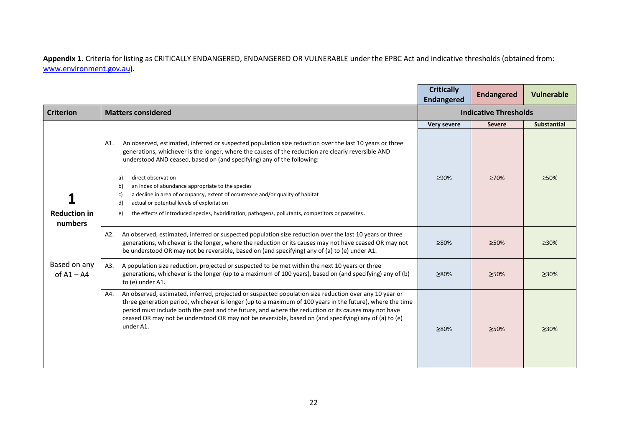**Appendix 1.** Criteria for listing as CRITICALLY ENDANGERED, ENDANGERED OR VULNERABLE under the EPBC Act and indicative thresholds (obtained from: [www.environment.gov.au\)](http://www.environment.gov.au/)**.**

|                                |                                                                                                                                                                                                                                                                                                                                                                                                                                                          | <b>Critically</b><br><b>Endangered</b> | <b>Endangered</b> | <b>Vulnerable</b>  |
|--------------------------------|----------------------------------------------------------------------------------------------------------------------------------------------------------------------------------------------------------------------------------------------------------------------------------------------------------------------------------------------------------------------------------------------------------------------------------------------------------|----------------------------------------|-------------------|--------------------|
| <b>Criterion</b>               | <b>Matters considered</b>                                                                                                                                                                                                                                                                                                                                                                                                                                | <b>Indicative Thresholds</b>           |                   |                    |
|                                |                                                                                                                                                                                                                                                                                                                                                                                                                                                          | <b>Very severe</b>                     | <b>Severe</b>     | <b>Substantial</b> |
|                                | An observed, estimated, inferred or suspected population size reduction over the last 10 years or three<br>A1.<br>generations, whichever is the longer, where the causes of the reduction are clearly reversible AND<br>understood AND ceased, based on (and specifying) any of the following:                                                                                                                                                           |                                        |                   |                    |
|                                | direct observation<br>a)<br>an index of abundance appropriate to the species<br>b)<br>a decline in area of occupancy, extent of occurrence and/or quality of habitat<br>$\mathsf{C}$<br>actual or potential levels of exploitation<br>d)                                                                                                                                                                                                                 | ≥90%                                   | $\geq 70\%$       | $\geq 50\%$        |
| <b>Reduction in</b><br>numbers | the effects of introduced species, hybridization, pathogens, pollutants, competitors or parasites.<br>e)                                                                                                                                                                                                                                                                                                                                                 |                                        |                   |                    |
|                                | An observed, estimated, inferred or suspected population size reduction over the last 10 years or three<br>A2.<br>generations, whichever is the longer, where the reduction or its causes may not have ceased OR may not<br>be understood OR may not be reversible, based on (and specifying) any of (a) to (e) under A1.                                                                                                                                | ≥80%                                   | 250%              | $>30\%$            |
| Based on any<br>of $A1 - A4$   | A population size reduction, projected or suspected to be met within the next 10 years or three<br>A3.<br>generations, whichever is the longer (up to a maximum of 100 years), based on (and specifying) any of (b)<br>to (e) under A1.                                                                                                                                                                                                                  | ≥80%                                   | 250%              | 230%               |
|                                | An observed, estimated, inferred, projected or suspected population size reduction over any 10 year or<br>A4.<br>three generation period, whichever is longer (up to a maximum of 100 years in the future), where the time<br>period must include both the past and the future, and where the reduction or its causes may not have<br>ceased OR may not be understood OR may not be reversible, based on (and specifying) any of (a) to (e)<br>under A1. | ≥80%                                   | ≥50%              | $\geq 30\%$        |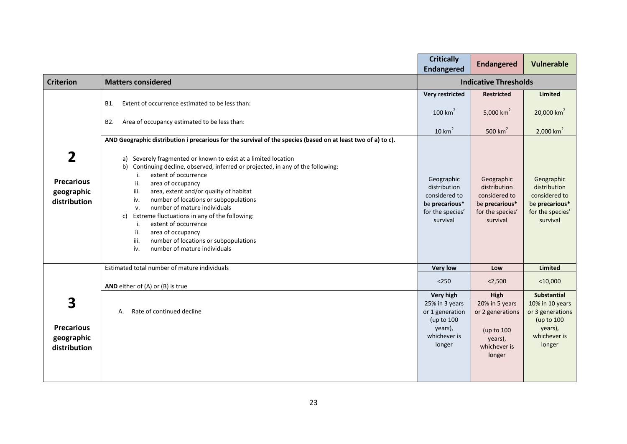|                                                      |                                                                                                                                                                                                                                                                                                                                                                                                                                                                                                                                                                                                                                                                               | <b>Critically</b><br><b>Endangered</b>                                                        | <b>Endangered</b>                                                                             | <b>Vulnerable</b>                                                                             |
|------------------------------------------------------|-------------------------------------------------------------------------------------------------------------------------------------------------------------------------------------------------------------------------------------------------------------------------------------------------------------------------------------------------------------------------------------------------------------------------------------------------------------------------------------------------------------------------------------------------------------------------------------------------------------------------------------------------------------------------------|-----------------------------------------------------------------------------------------------|-----------------------------------------------------------------------------------------------|-----------------------------------------------------------------------------------------------|
| <b>Criterion</b>                                     | <b>Matters considered</b>                                                                                                                                                                                                                                                                                                                                                                                                                                                                                                                                                                                                                                                     | <b>Indicative Thresholds</b>                                                                  |                                                                                               |                                                                                               |
|                                                      | Extent of occurrence estimated to be less than:<br>B1.<br>Area of occupancy estimated to be less than:<br>B <sub>2</sub> .                                                                                                                                                                                                                                                                                                                                                                                                                                                                                                                                                    | <b>Very restricted</b><br>$100 \text{ km}^2$<br>$10 \text{ km}^2$                             | <b>Restricted</b><br>5,000 $km^2$<br>500 $km2$                                                | <b>Limited</b><br>20,000 $km2$<br>$2,000$ km <sup>2</sup>                                     |
| 2<br><b>Precarious</b><br>geographic<br>distribution | AND Geographic distribution i precarious for the survival of the species (based on at least two of a) to c).<br>a) Severely fragmented or known to exist at a limited location<br>b) Continuing decline, observed, inferred or projected, in any of the following:<br>extent of occurrence<br>i.<br>ii.<br>area of occupancy<br>area, extent and/or quality of habitat<br>iii.<br>number of locations or subpopulations<br>iv.<br>number of mature individuals<br>v.<br>Extreme fluctuations in any of the following:<br>c)<br>extent of occurrence<br>i.<br>ii.<br>area of occupancy<br>number of locations or subpopulations<br>iii.<br>number of mature individuals<br>iv. | Geographic<br>distribution<br>considered to<br>be precarious*<br>for the species'<br>survival | Geographic<br>distribution<br>considered to<br>be precarious*<br>for the species'<br>survival | Geographic<br>distribution<br>considered to<br>be precarious*<br>for the species'<br>survival |
|                                                      | Estimated total number of mature individuals                                                                                                                                                                                                                                                                                                                                                                                                                                                                                                                                                                                                                                  | <b>Very low</b>                                                                               | Low                                                                                           | <b>Limited</b>                                                                                |
|                                                      | AND either of (A) or (B) is true                                                                                                                                                                                                                                                                                                                                                                                                                                                                                                                                                                                                                                              | $<$ 250                                                                                       | < 2,500                                                                                       | $<$ 10,000                                                                                    |
|                                                      |                                                                                                                                                                                                                                                                                                                                                                                                                                                                                                                                                                                                                                                                               | <b>Very high</b>                                                                              | High                                                                                          | <b>Substantial</b>                                                                            |
| 3<br><b>Precarious</b><br>geographic<br>distribution | Rate of continued decline<br>А.                                                                                                                                                                                                                                                                                                                                                                                                                                                                                                                                                                                                                                               | 25% in 3 years<br>or 1 generation<br>(up to 100<br>years),<br>whichever is<br>longer          | 20% in 5 years<br>or 2 generations<br>(up to 100<br>years),<br>whichever is<br>longer         | 10% in 10 years<br>or 3 generations<br>(up to 100<br>years),<br>whichever is<br>longer        |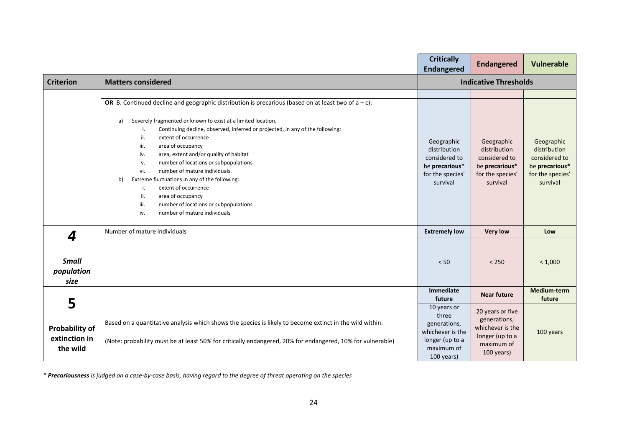|                                                         |                                                                                                                                                                                                                                                                                                                                                                                                                                                                                                                                                                                                                                                                                  | <b>Critically</b><br><b>Endangered</b>                                                                  | <b>Endangered</b>                                                                                   | <b>Vulnerable</b>                                                                             |
|---------------------------------------------------------|----------------------------------------------------------------------------------------------------------------------------------------------------------------------------------------------------------------------------------------------------------------------------------------------------------------------------------------------------------------------------------------------------------------------------------------------------------------------------------------------------------------------------------------------------------------------------------------------------------------------------------------------------------------------------------|---------------------------------------------------------------------------------------------------------|-----------------------------------------------------------------------------------------------------|-----------------------------------------------------------------------------------------------|
| <b>Criterion</b>                                        | <b>Matters considered</b>                                                                                                                                                                                                                                                                                                                                                                                                                                                                                                                                                                                                                                                        | <b>Indicative Thresholds</b>                                                                            |                                                                                                     |                                                                                               |
|                                                         | OR B. Continued decline and geographic distribution is precarious (based on at least two of $a - c$ ):<br>Severely fragmented or known to exist at a limited location.<br>a)<br>Continuing decline, observed, inferred or projected, in any of the following:<br>i.<br>ii.<br>extent of occurrence<br>area of occupancy<br>iii.<br>area, extent and/or quality of habitat<br>iv.<br>number of locations or subpopulations<br>v.<br>number of mature individuals.<br>vi.<br>Extreme fluctuations in any of the following:<br>b)<br>i.<br>extent of occurrence<br>ii.<br>area of occupancy<br>number of locations or subpopulations<br>iii.<br>number of mature individuals<br>iv. | Geographic<br>distribution<br>considered to<br>be precarious*<br>for the species'<br>survival           | Geographic<br>distribution<br>considered to<br>be precarious*<br>for the species'<br>survival       | Geographic<br>distribution<br>considered to<br>be precarious*<br>for the species'<br>survival |
| 4                                                       | Number of mature individuals                                                                                                                                                                                                                                                                                                                                                                                                                                                                                                                                                                                                                                                     | <b>Extremely low</b>                                                                                    | <b>Very low</b>                                                                                     | Low                                                                                           |
| <b>Small</b><br>population<br>size                      |                                                                                                                                                                                                                                                                                                                                                                                                                                                                                                                                                                                                                                                                                  | < 50                                                                                                    | < 250                                                                                               | < 1,000                                                                                       |
|                                                         |                                                                                                                                                                                                                                                                                                                                                                                                                                                                                                                                                                                                                                                                                  | Immediate<br>future                                                                                     | <b>Near future</b>                                                                                  | Medium-term<br>future                                                                         |
| 5<br><b>Probability of</b><br>extinction in<br>the wild | Based on a quantitative analysis which shows the species is likely to become extinct in the wild within:<br>(Note: probability must be at least 50% for critically endangered, 20% for endangered, 10% for vulnerable)                                                                                                                                                                                                                                                                                                                                                                                                                                                           | 10 years or<br>three<br>generations,<br>whichever is the<br>longer (up to a<br>maximum of<br>100 years) | 20 years or five<br>generations,<br>whichever is the<br>longer (up to a<br>maximum of<br>100 years) | 100 years                                                                                     |

*\* Precariousness is judged on a case-by-case basis, having regard to the degree of threat operating on the species*